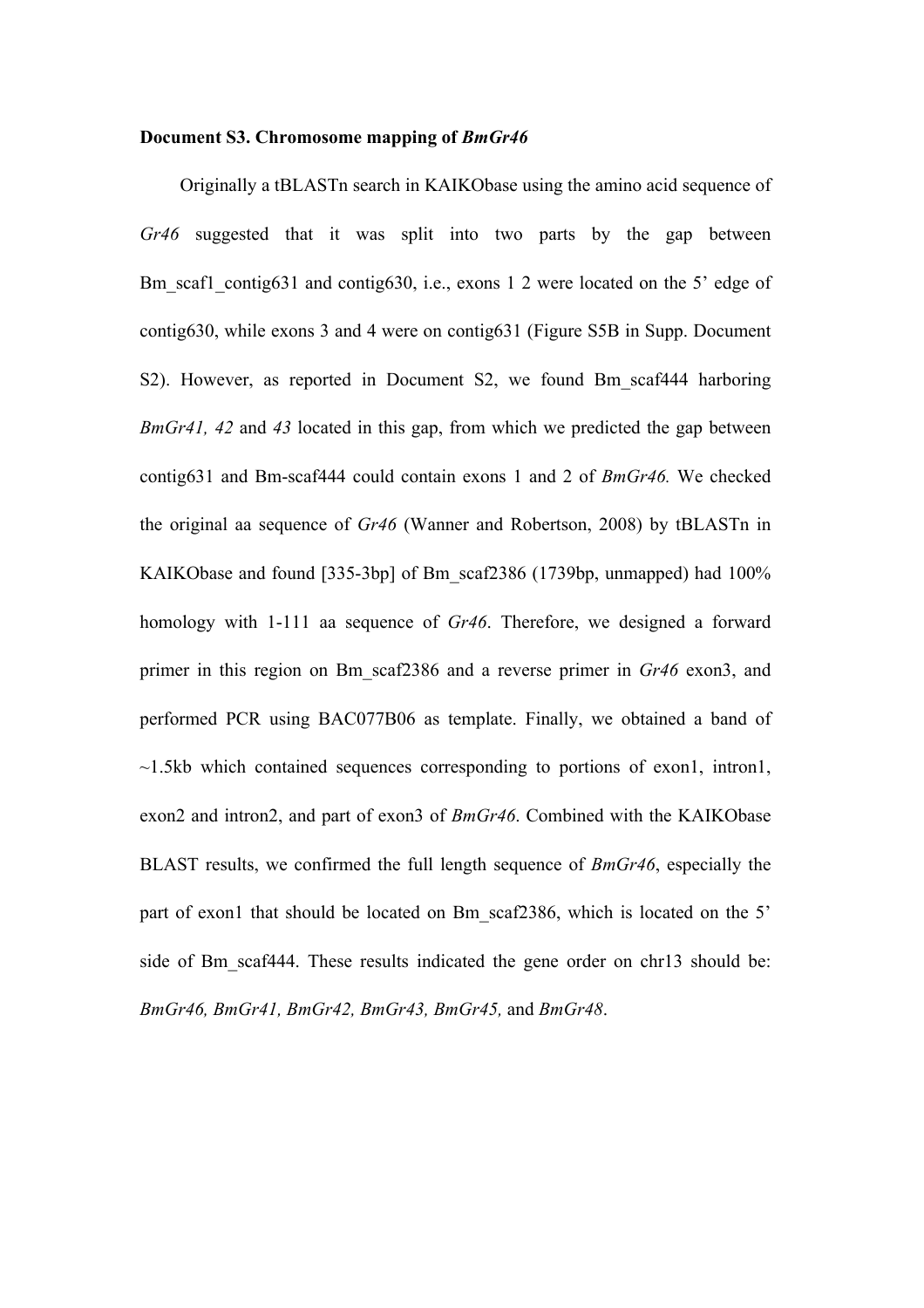## **Document S3. Chromosome mapping of** *BmGr46*

Originally a tBLASTn search in KAIKObase using the amino acid sequence of *Gr46* suggested that it was split into two parts by the gap between Bm scaf1 contig631 and contig630, i.e., exons 1 2 were located on the 5' edge of contig630, while exons 3 and 4 were on contig631 (Figure S5B in Supp. Document S2). However, as reported in Document S2, we found Bm scaf444 harboring *BmGr41, 42* and *43* located in this gap, from which we predicted the gap between contig631 and Bm-scaf444 could contain exons 1 and 2 of *BmGr46.* We checked the original aa sequence of *Gr46* (Wanner and Robertson, 2008) by tBLASTn in KAIKObase and found [335-3bp] of Bm\_scaf2386 (1739bp, unmapped) had 100% homology with 1-111 aa sequence of *Gr46*. Therefore, we designed a forward primer in this region on Bm\_scaf2386 and a reverse primer in *Gr46* exon3, and performed PCR using BAC077B06 as template. Finally, we obtained a band of  $\sim$ 1.5kb which contained sequences corresponding to portions of exon1, intron1, exon2 and intron2, and part of exon3 of *BmGr46*. Combined with the KAIKObase BLAST results, we confirmed the full length sequence of *BmGr46*, especially the part of exon1 that should be located on Bm scaf2386, which is located on the 5' side of Bm scaf444. These results indicated the gene order on chr13 should be: *BmGr46, BmGr41, BmGr42, BmGr43, BmGr45,* and *BmGr48*.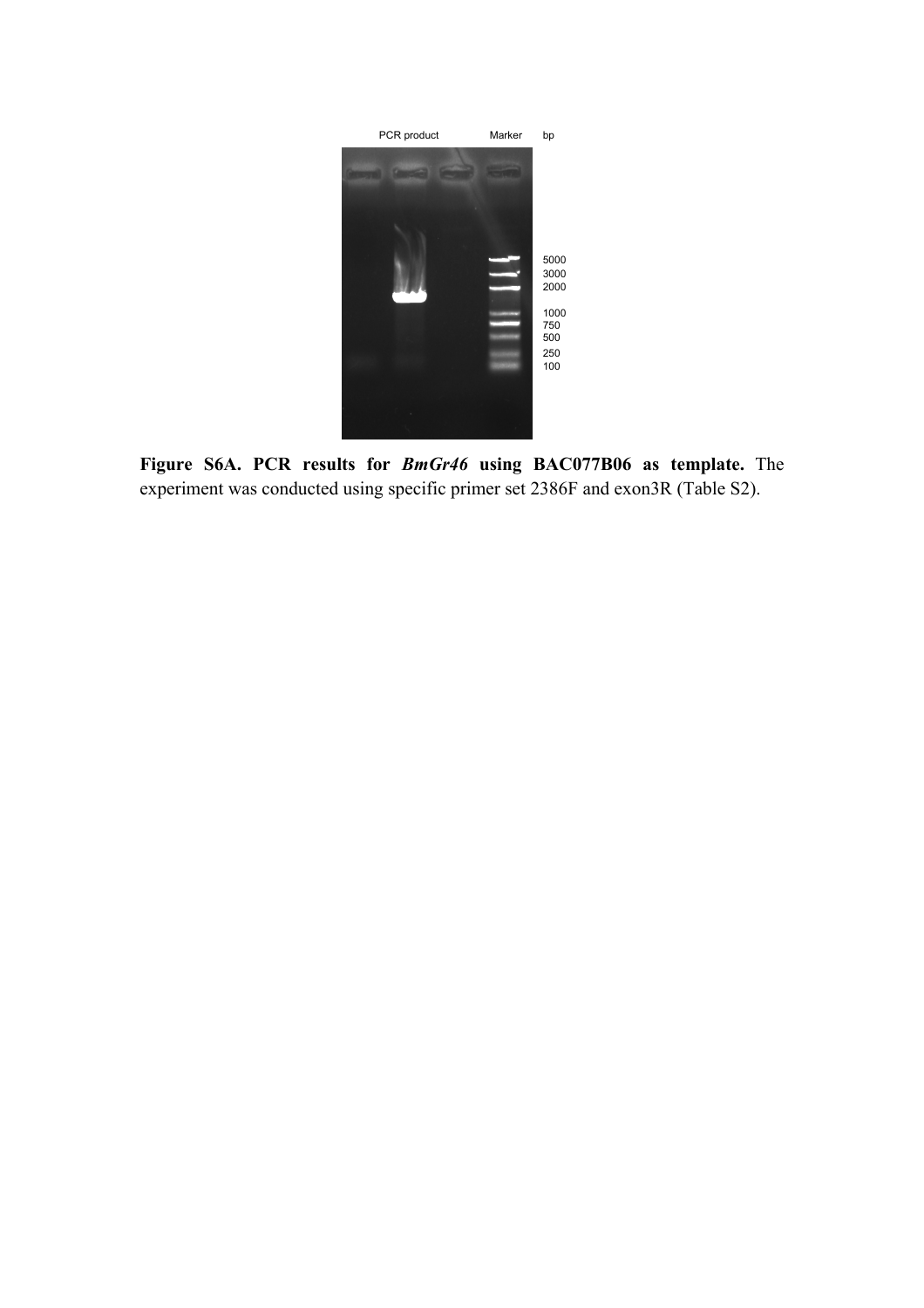

**Figure S6A. PCR results for** *BmGr46* **using BAC077B06 as template.** The experiment was conducted using specific primer set 2386F and exon3R (Table S2).